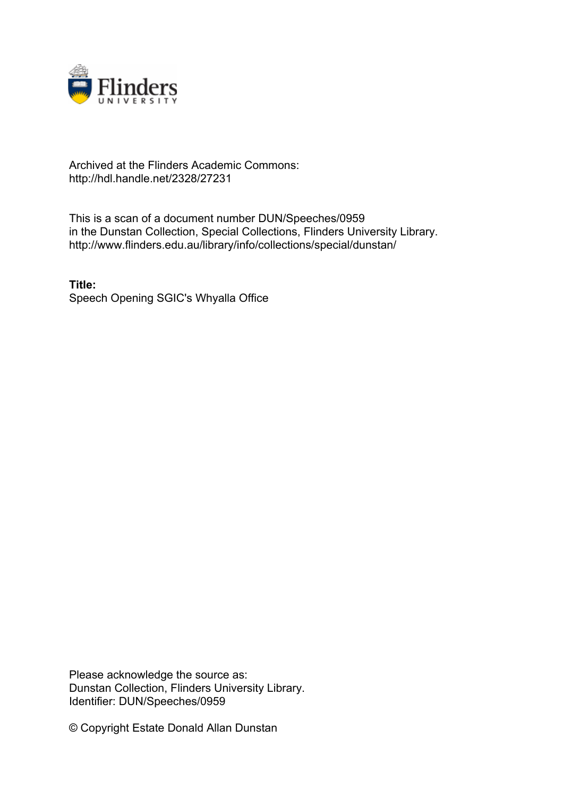

## Archived at the Flinders Academic Commons: http://hdl.handle.net/2328/27231

This is a scan of a document number DUN/Speeches/0959 in the Dunstan Collection, Special Collections, Flinders University Library. http://www.flinders.edu.au/library/info/collections/special/dunstan/

**Title:** Speech Opening SGIC's Whyalla Office

Please acknowledge the source as: Dunstan Collection, Flinders University Library. Identifier: DUN/Speeches/0959

© Copyright Estate Donald Allan Dunstan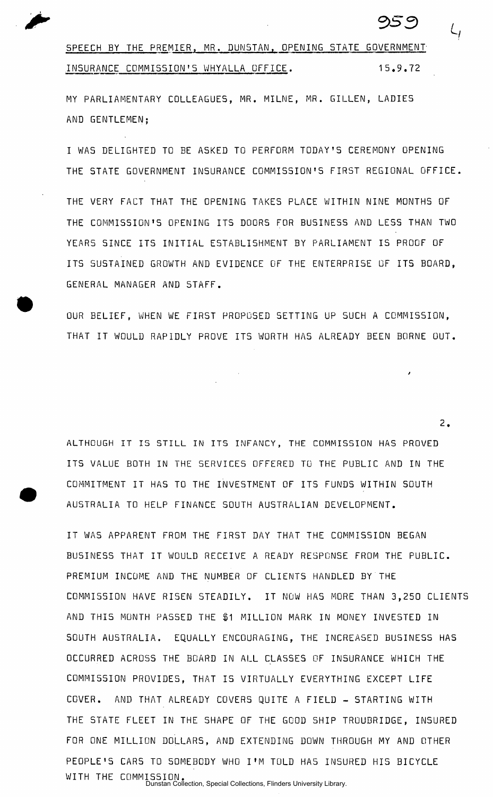

2.

SPEECH BY THE PREMIER, MR. DUNSTAN, OPENING STATE GOVERNMENT INSURANCE COMMISSION'S WHYALLA OFFICE. 15.9.72

MY PARLIAMENTARY COLLEAGUES, MR. MILNE, MR. GILLEN, LADIES AND GENTLEMEN;

I WAS DELIGHTED TO BE ASKED TO PERFORM TODAY'S CEREMONY OPENING THE STATE GOVERNMENT INSURANCE COMMISSION'S FIRST REGIONAL OFFICE.

THE VERY FACT THAT THE OPENING TAKES PLACE WITHIN NINE MONTHS OF THE COMMISSION'S OPENING ITS DOORS FOR BUSINESS AND LESS THAN TWO YEARS SINCE ITS INITIAL ESTABLISHMENT BY PARLIAMENT IS PROOF OF ITS SUSTAINED GROWTH AND EVIDENCE OF THE ENTERPRISE OF ITS BOARD. GENERAL MANAGER AND 5TAFF .

OUR BELIEF, WHEN WE FIRST PROPOSED SETTING UP SUCH A COMMISSION, THAT IT WOULD RAPIDLY PROVE ITS WORTH HAS ALREADY BEEN BORNE OUT.

ALTHOUGH IT IS STILL IN ITS INFANCY, THE COMMISSION HAS PROVED ITS VALUE BOTH IN THE SERVICES OFFERED TO THE PUBLIC AND IN THE COMMITMENT IT HAS TO THE INVESTMENT OF ITS FUNDS WITHIN SOUTH AUSTRALIA TO HELP FINANCE SOUTH AUSTRALIAN DEVELOPMENT.

IT WAS APPARENT FROM THE FIRST DAY THAT THE COMMISSION BEGAN BUSINESS THAT IT WOULD RECEIVE A READY RESPONSE FROM THE PUBLIC. PREMIUM INCOME AND THE NUMBER OF CLIENTS HANDLED BY THE COMMISSION HAVE RISEN STEADILY. IT NOW HAS MORE THAN 3,250 CLIENTS AND THIS MONTH PASSED THE \$1 MILLION MARK IN MONEY INVESTED IN SOUTH AUSTRALIA. EQUALLY ENCOURAGING, THE INCREASED BUSINESS HAS OCCURRED ACROSS THE BOARD IN ALL CLASSES OF INSURANCE WHICH THE COMMISSION PROVIDES, THAT IS VIRTUALLY EVERYTHING EXCEPT LIFE COVER. AND THAT ALREADY COVERS QUITE A FIELD - STARTING WITH THE STATE FLEET IN THE SHAPE OF THE GOOD SHIP TROUBRIDGE. INSURED FOR ONE MILLION DOLLARS, AND EXTENDING DOWN THROUGH MY AND OTHER PEOPLE'S CARS TO SOMEBODY WHO I'M TOLD HAS INSURED HIS BICYCLE WITH THE COMMISSION. Dunstan Collection, Special Collections, Flinders University Library.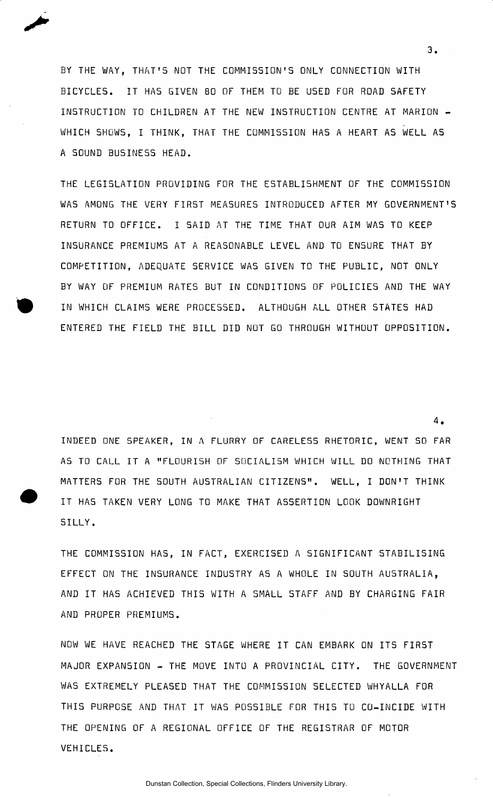BY THE WAY, THAT'S NOT THE COMMISSION'S ONLY CONNECTION WITH BICYCLES. IT HAS GIVEN 80 OF THEM TO BE USED FOR ROAD SAFETY INSTRUCTION TO CHILDREN AT THE NEW INSTRUCTION CENTRE AT MARION -WHICH SHOWS, I THINK, THAT THE COMMISSION HAS A HEART AS WELL AS A SOUND BUSINESS HEAD.

THE LEGISLATION PROVIDING FOR THE ESTABLISHMENT OF THE COMMISSION WAS AMONG THE VERY FIRST MEASURES INTRODUCED AFTER MY GOVERNMENT'S RETURN TO OFFICE. I SAID AT THE TIME THAT OUR AIM WAS TO KEEP INSURANCE PREMIUMS AT A REASONABLE LEVEL AND TO ENSURE THAT BY COMPETITION, ADEQUATE SERVICE WAS GIVEN TO THE PUBLIC, NOT ONLY BY WAY OF PREMIUM RATES BUT IN CONDITIONS OF POLICIES AND THE WAY IN WHICH CLAIMS WERE PROCESSED. ALTHOUGH ALL OTHER STATES HAD ENTERED THE FIELD THE BILL DID NOT GO THROUGH WITHOUT OPPOSITION.

INDEED ONE SPEAKER, IN A FLURRY OF CARELESS RHETORIC, WENT SO FAR AS TO CALL IT A "FLOURISH OF SOCIALISM WHICH WILL DO NOTHING THAT MATTERS FOR THE SOUTH AUSTRALIAN CITIZENS". WELL, I DON'T THINK IT HAS TAKEN VERY LONG TO MAKE THAT ASSERTION LOOK DOWNRIGHT SILLY .

THE COMMISSION HAS, IN FACT, EXERCISED A SIGNIFICANT STABILISING EFFECT ON THE INSURANCE INDUSTRY AS A WHOLE IN SOUTH AUSTRALIA, AND IT HAS ACHIEVED THIS WITH A SMALL STAFF AND BY CHARGING FAIR AND PROPER PREMIUMS .

NOW WE HAVE REACHED THE STAGE WHERE IT CAN EMBARK ON ITS FIRST MAJOR EXPANSION - THE MOVE INTO A PROVINCIAL CITY. THE GOVERNMENT WAS EXTREMELY PLEASED THAT THE COMMISSION SELECTED WHYALLA FOR THIS PURPOSE AND THAT IT WAS POSSIBLE FOR THIS TO CO-INCIDE WITH THE OPENING OF A REGIONAL OFFICE OF THE REGISTRAR OF MOTOR VEHICLES .

3.

4 .